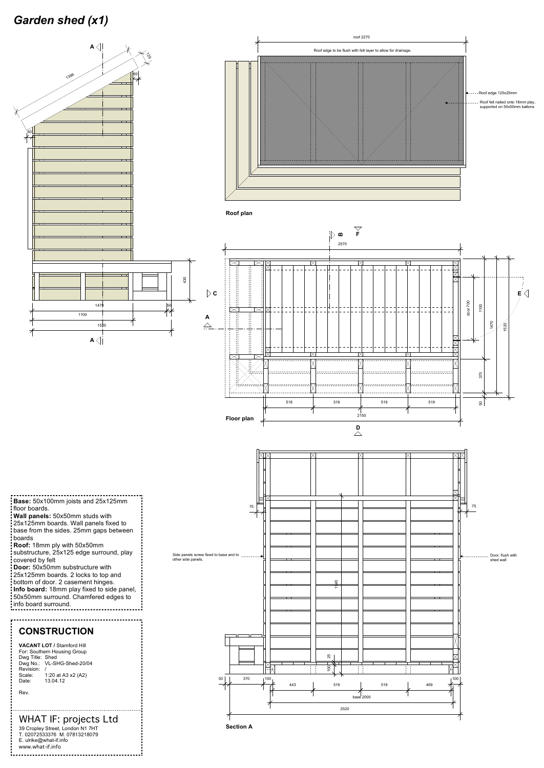## *Garden shed (x1)*



-----------------------**Base:** 50x100mm joists and 25x125mm floor boards.

**Roof:** 18mm ply with 50x50mm substructure, 25x125 edge surround, play covered by felt

**Roof plan**



**Wall panels:** 50x50mm studs with

25x125mm boards. Wall panels fixed to base from the sides. 25mm gaps between : boards

**Door:** 50x50mm substructure with



25x125mm boards. 2 locks to top and



bottom of door. 2 casement hinges. **Info board:** 18mm play fixed to side panel, 50x50mm surround. Chamfered edges to info board surround.



## WHAT IF: projects Ltd

39 Cropley Street, London N1 7HT T. 02072533376 M. 07813218079 E. ulrike@what-if.info www.what-if.info 

## **CONSTRUCTION**

.....................

**VACANT LOT /** Stamford Hill For: Southern Housing Group Dwg Title: Shed Dwg No.: VL-SHG-Shed-20/04 Revision: / Scale: 1:20 at A3 x2 (A2) Date: 13.04.12 Rev.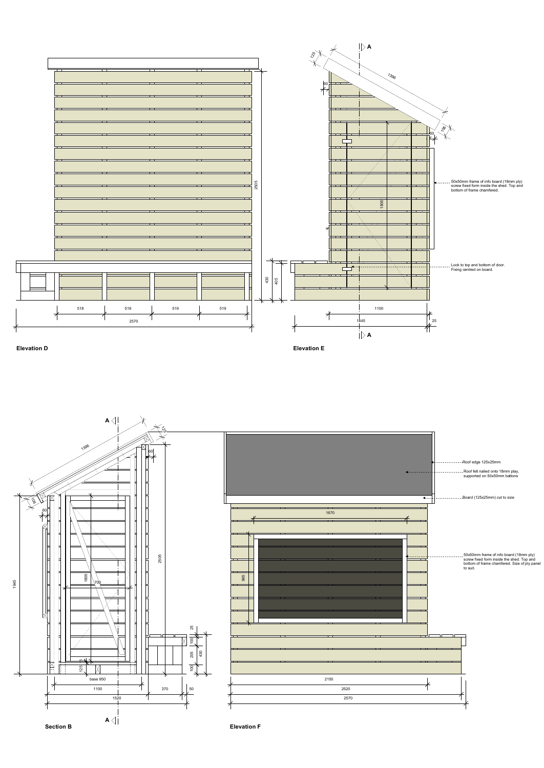

**Elevation D Elevation E**